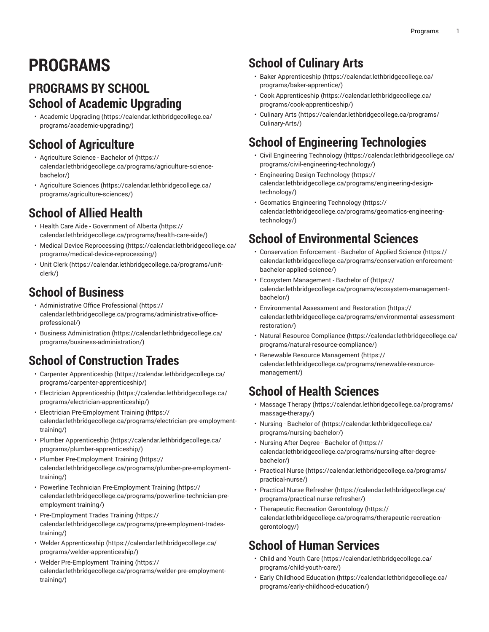# **PROGRAMS**

#### <span id="page-0-0"></span>**PROGRAMS BY SCHOOL School of Academic Upgrading**

• [Academic Upgrading](https://calendar.lethbridgecollege.ca/programs/academic-upgrading/) ([https://calendar.lethbridgecollege.ca/](https://calendar.lethbridgecollege.ca/programs/academic-upgrading/) [programs/academic-upgrading/\)](https://calendar.lethbridgecollege.ca/programs/academic-upgrading/)

# **School of Agriculture**

- [Agriculture](https://calendar.lethbridgecollege.ca/programs/agriculture-science-bachelor/) Science Bachelor of ([https://](https://calendar.lethbridgecollege.ca/programs/agriculture-science-bachelor/) [calendar.lethbridgecollege.ca/programs/agriculture-science](https://calendar.lethbridgecollege.ca/programs/agriculture-science-bachelor/)[bachelor/\)](https://calendar.lethbridgecollege.ca/programs/agriculture-science-bachelor/)
- [Agriculture](https://calendar.lethbridgecollege.ca/programs/agriculture-sciences/) Sciences ([https://calendar.lethbridgecollege.ca/](https://calendar.lethbridgecollege.ca/programs/agriculture-sciences/) [programs/agriculture-sciences/\)](https://calendar.lethbridgecollege.ca/programs/agriculture-sciences/)

# **School of Allied Health**

- Health Care Aide [Government](https://calendar.lethbridgecollege.ca/programs/health-care-aide/) of Alberta ([https://](https://calendar.lethbridgecollege.ca/programs/health-care-aide/) [calendar.lethbridgecollege.ca/programs/health-care-aide/](https://calendar.lethbridgecollege.ca/programs/health-care-aide/))
- Medical Device [Reprocessing \(https://calendar.lethbridgecollege.ca/](https://calendar.lethbridgecollege.ca/programs/medical-device-reprocessing/) [programs/medical-device-reprocessing/\)](https://calendar.lethbridgecollege.ca/programs/medical-device-reprocessing/)
- [Unit Clerk \(https://calendar.lethbridgecollege.ca/programs/unit](https://calendar.lethbridgecollege.ca/programs/unit-clerk/)[clerk/\)](https://calendar.lethbridgecollege.ca/programs/unit-clerk/)

# **School of Business**

- [Administrative](https://calendar.lethbridgecollege.ca/programs/administrative-office-professional/) Office Professional [\(https://](https://calendar.lethbridgecollege.ca/programs/administrative-office-professional/) [calendar.lethbridgecollege.ca/programs/administrative-office](https://calendar.lethbridgecollege.ca/programs/administrative-office-professional/)[professional/\)](https://calendar.lethbridgecollege.ca/programs/administrative-office-professional/)
- [Business Administration](https://calendar.lethbridgecollege.ca/programs/business-administration/) ([https://calendar.lethbridgecollege.ca/](https://calendar.lethbridgecollege.ca/programs/business-administration/) [programs/business-administration/](https://calendar.lethbridgecollege.ca/programs/business-administration/))

# **School of Construction Trades**

- Carpenter [Apprenticeship](https://calendar.lethbridgecollege.ca/programs/carpenter-apprenticeship/) [\(https://calendar.lethbridgecollege.ca/](https://calendar.lethbridgecollege.ca/programs/carpenter-apprenticeship/) [programs/carpenter-apprenticeship/](https://calendar.lethbridgecollege.ca/programs/carpenter-apprenticeship/))
- Electrician [Apprenticeship](https://calendar.lethbridgecollege.ca/programs/electrician-apprenticeship/) ([https://calendar.lethbridgecollege.ca/](https://calendar.lethbridgecollege.ca/programs/electrician-apprenticeship/) [programs/electrician-apprenticeship/](https://calendar.lethbridgecollege.ca/programs/electrician-apprenticeship/))
- Electrician [Pre-Employment](https://calendar.lethbridgecollege.ca/programs/electrician-pre-employment-training/) Training [\(https://](https://calendar.lethbridgecollege.ca/programs/electrician-pre-employment-training/) [calendar.lethbridgecollege.ca/programs/electrician-pre-employment](https://calendar.lethbridgecollege.ca/programs/electrician-pre-employment-training/)[training/\)](https://calendar.lethbridgecollege.ca/programs/electrician-pre-employment-training/)
- Plumber [Apprenticeship](https://calendar.lethbridgecollege.ca/programs/plumber-apprenticeship/) ([https://calendar.lethbridgecollege.ca/](https://calendar.lethbridgecollege.ca/programs/plumber-apprenticeship/) [programs/plumber-apprenticeship/](https://calendar.lethbridgecollege.ca/programs/plumber-apprenticeship/))
- Plumber [Pre-Employment](https://calendar.lethbridgecollege.ca/programs/plumber-pre-employment-training/) Training [\(https://](https://calendar.lethbridgecollege.ca/programs/plumber-pre-employment-training/) [calendar.lethbridgecollege.ca/programs/plumber-pre-employment](https://calendar.lethbridgecollege.ca/programs/plumber-pre-employment-training/)[training/\)](https://calendar.lethbridgecollege.ca/programs/plumber-pre-employment-training/)
- Powerline Technician [Pre-Employment](https://calendar.lethbridgecollege.ca/programs/powerline-technician-pre-employment-training/) Training ([https://](https://calendar.lethbridgecollege.ca/programs/powerline-technician-pre-employment-training/) [calendar.lethbridgecollege.ca/programs/powerline-technician-pre](https://calendar.lethbridgecollege.ca/programs/powerline-technician-pre-employment-training/)[employment-training/\)](https://calendar.lethbridgecollege.ca/programs/powerline-technician-pre-employment-training/)
- [Pre-Employment](https://calendar.lethbridgecollege.ca/programs/pre-employment-trades-training/) Trades Training ([https://](https://calendar.lethbridgecollege.ca/programs/pre-employment-trades-training/) [calendar.lethbridgecollege.ca/programs/pre-employment-trades](https://calendar.lethbridgecollege.ca/programs/pre-employment-trades-training/)[training/\)](https://calendar.lethbridgecollege.ca/programs/pre-employment-trades-training/)
- Welder [Apprenticeship \(https://calendar.lethbridgecollege.ca/](https://calendar.lethbridgecollege.ca/programs/welder-apprenticeship/) [programs/welder-apprenticeship/\)](https://calendar.lethbridgecollege.ca/programs/welder-apprenticeship/)
- Welder [Pre-Employment](https://calendar.lethbridgecollege.ca/programs/welder-pre-employment-training/) Training ([https://](https://calendar.lethbridgecollege.ca/programs/welder-pre-employment-training/) [calendar.lethbridgecollege.ca/programs/welder-pre-employment](https://calendar.lethbridgecollege.ca/programs/welder-pre-employment-training/)[training/\)](https://calendar.lethbridgecollege.ca/programs/welder-pre-employment-training/)

# **School of Culinary Arts**

- Baker [Apprenticeship](https://calendar.lethbridgecollege.ca/programs/baker-apprentice/) ([https://calendar.lethbridgecollege.ca/](https://calendar.lethbridgecollege.ca/programs/baker-apprentice/) [programs/baker-apprentice/\)](https://calendar.lethbridgecollege.ca/programs/baker-apprentice/)
- Cook [Apprenticeship \(https://calendar.lethbridgecollege.ca/](https://calendar.lethbridgecollege.ca/programs/cook-apprenticeship/) [programs/cook-apprenticeship/\)](https://calendar.lethbridgecollege.ca/programs/cook-apprenticeship/)
- [Culinary](https://calendar.lethbridgecollege.ca/programs/Culinary-Arts/) Arts [\(https://calendar.lethbridgecollege.ca/programs/](https://calendar.lethbridgecollege.ca/programs/Culinary-Arts/) [Culinary-Arts/](https://calendar.lethbridgecollege.ca/programs/Culinary-Arts/))

# **School of Engineering Technologies**

- Civil [Engineering](https://calendar.lethbridgecollege.ca/programs/civil-engineering-technology/) Technology [\(https://calendar.lethbridgecollege.ca/](https://calendar.lethbridgecollege.ca/programs/civil-engineering-technology/) [programs/civil-engineering-technology/](https://calendar.lethbridgecollege.ca/programs/civil-engineering-technology/))
- [Engineering](https://calendar.lethbridgecollege.ca/programs/engineering-design-technology/) Design Technology ([https://](https://calendar.lethbridgecollege.ca/programs/engineering-design-technology/) [calendar.lethbridgecollege.ca/programs/engineering-design](https://calendar.lethbridgecollege.ca/programs/engineering-design-technology/)[technology/\)](https://calendar.lethbridgecollege.ca/programs/engineering-design-technology/)
- Geomatics [Engineering](https://calendar.lethbridgecollege.ca/programs/geomatics-engineering-technology/) Technology ([https://](https://calendar.lethbridgecollege.ca/programs/geomatics-engineering-technology/) [calendar.lethbridgecollege.ca/programs/geomatics-engineering](https://calendar.lethbridgecollege.ca/programs/geomatics-engineering-technology/)[technology/\)](https://calendar.lethbridgecollege.ca/programs/geomatics-engineering-technology/)

# **School of Environmental Sciences**

- [Conservation](https://calendar.lethbridgecollege.ca/programs/conservation-enforcement-bachelor-applied-science/) Enforcement Bachelor of Applied Science [\(https://](https://calendar.lethbridgecollege.ca/programs/conservation-enforcement-bachelor-applied-science/) [calendar.lethbridgecollege.ca/programs/conservation-enforcement](https://calendar.lethbridgecollege.ca/programs/conservation-enforcement-bachelor-applied-science/)[bachelor-applied-science/](https://calendar.lethbridgecollege.ca/programs/conservation-enforcement-bachelor-applied-science/))
- Ecosystem [Management](https://calendar.lethbridgecollege.ca/programs/ecosystem-management-bachelor/) Bachelor of ([https://](https://calendar.lethbridgecollege.ca/programs/ecosystem-management-bachelor/) [calendar.lethbridgecollege.ca/programs/ecosystem-management](https://calendar.lethbridgecollege.ca/programs/ecosystem-management-bachelor/)[bachelor/\)](https://calendar.lethbridgecollege.ca/programs/ecosystem-management-bachelor/)
- [Environmental](https://calendar.lethbridgecollege.ca/programs/environmental-assessment-restoration/) Assessment and Restoration ([https://](https://calendar.lethbridgecollege.ca/programs/environmental-assessment-restoration/) [calendar.lethbridgecollege.ca/programs/environmental-assessment](https://calendar.lethbridgecollege.ca/programs/environmental-assessment-restoration/)[restoration/](https://calendar.lethbridgecollege.ca/programs/environmental-assessment-restoration/))
- Natural Resource [Compliance](https://calendar.lethbridgecollege.ca/programs/natural-resource-compliance/) [\(https://calendar.lethbridgecollege.ca/](https://calendar.lethbridgecollege.ca/programs/natural-resource-compliance/) [programs/natural-resource-compliance/](https://calendar.lethbridgecollege.ca/programs/natural-resource-compliance/))
- Renewable Resource [Management](https://calendar.lethbridgecollege.ca/programs/renewable-resource-management/) [\(https://](https://calendar.lethbridgecollege.ca/programs/renewable-resource-management/) [calendar.lethbridgecollege.ca/programs/renewable-resource](https://calendar.lethbridgecollege.ca/programs/renewable-resource-management/)[management/](https://calendar.lethbridgecollege.ca/programs/renewable-resource-management/))

# **School of Health Sciences**

- [Massage](https://calendar.lethbridgecollege.ca/programs/massage-therapy/) Therapy [\(https://calendar.lethbridgecollege.ca/programs/](https://calendar.lethbridgecollege.ca/programs/massage-therapy/) [massage-therapy/\)](https://calendar.lethbridgecollege.ca/programs/massage-therapy/)
- [Nursing Bachelor of](https://calendar.lethbridgecollege.ca/programs/nursing-bachelor/) ([https://calendar.lethbridgecollege.ca/](https://calendar.lethbridgecollege.ca/programs/nursing-bachelor/) [programs/nursing-bachelor/](https://calendar.lethbridgecollege.ca/programs/nursing-bachelor/))
- Nursing After Degree [Bachelor](https://calendar.lethbridgecollege.ca/programs/nursing-after-degree-bachelor/) of [\(https://](https://calendar.lethbridgecollege.ca/programs/nursing-after-degree-bachelor/) [calendar.lethbridgecollege.ca/programs/nursing-after-degree](https://calendar.lethbridgecollege.ca/programs/nursing-after-degree-bachelor/)[bachelor/\)](https://calendar.lethbridgecollege.ca/programs/nursing-after-degree-bachelor/)
- [Practical Nurse \(https://calendar.lethbridgecollege.ca/programs/](https://calendar.lethbridgecollege.ca/programs/practical-nurse/) [practical-nurse/](https://calendar.lethbridgecollege.ca/programs/practical-nurse/))
- Practical Nurse [Refresher](https://calendar.lethbridgecollege.ca/programs/practical-nurse-refresher/) [\(https://calendar.lethbridgecollege.ca/](https://calendar.lethbridgecollege.ca/programs/practical-nurse-refresher/) [programs/practical-nurse-refresher/\)](https://calendar.lethbridgecollege.ca/programs/practical-nurse-refresher/)
- Therapeutic Recreation [Gerontology](https://calendar.lethbridgecollege.ca/programs/therapeutic-recreation-gerontology/) ([https://](https://calendar.lethbridgecollege.ca/programs/therapeutic-recreation-gerontology/) [calendar.lethbridgecollege.ca/programs/therapeutic-recreation](https://calendar.lethbridgecollege.ca/programs/therapeutic-recreation-gerontology/)[gerontology/\)](https://calendar.lethbridgecollege.ca/programs/therapeutic-recreation-gerontology/)

#### **School of Human Services**

- Child and [Youth](https://calendar.lethbridgecollege.ca/programs/child-youth-care/) Care ([https://calendar.lethbridgecollege.ca/](https://calendar.lethbridgecollege.ca/programs/child-youth-care/) [programs/child-youth-care/](https://calendar.lethbridgecollege.ca/programs/child-youth-care/))
- Early Childhood [Education \(https://calendar.lethbridgecollege.ca/](https://calendar.lethbridgecollege.ca/programs/early-childhood-education/) [programs/early-childhood-education/\)](https://calendar.lethbridgecollege.ca/programs/early-childhood-education/)